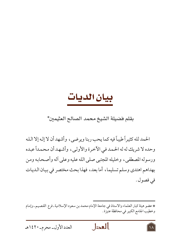## بيان الديات

## بقلم فضيلة الشيخ محمد الصالح العثيمين\*

الحمد لله كثيراً طيباً فيه كما يحب ربنا ويرضي، وأشهد أن لا إله إلا الله وحده لا شريك له له الحمد في الأخرة والأولى، وأشهد أن محمداً عبده ورسوله المصطفى، وخليله المجتبي صلى الله عليه وعلى أله وأصحابه ومن بهداهم اهتدى وسلم تسليما، أما بعد، فهذا بحث مختصر في بيان الديات في فصول .

\* عضو هيئة كبار العلماء والاستاذ في جامعة الإمام محمد بن سعود الإسلامية ـ فرع القصيم ـ وإمام وخطيب الجامع الكبير في محافظة عنيزة .





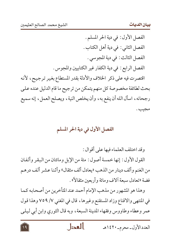الفصل الأول : في دية الحر المسلم . الفصل الثاني : في دية أهل الكتاب . الفصل الثالث : في دية المجوسى . الفصل الرابع : في دية الكفار غير الكتابيين والمجوس . اقتصرت فيه على ذكر الخلاف والأدلة بقدر المستطاع بغير ترجيح، لأنه بحث لطائفة مخصوصة كل منهم يتمكن من ترجيح ما قام الدليل عنده على رجحانه، اسأل الله أن ينفع به، وأن يخلص النية، ويصلح العمل، إنه سميع مجيب .

## الفصل الأول في دية الحر المسلم

وقد اختلف العلماء فيها على أقوال :

القول الأول : إنها خمسة أصول : مئة من الإبل ومائتان من البقر وألفان من الغنم وألف دينار من الذهب «يعادل ألف مثقال» وأثنا عشر ألف درهم فضة «تعادل سبعة ألاف ومائة وأربعين مثقالاً» .

وهذا هو المشهور من مذهب الإمام أحمد عند المتأخرين من أصحابه كما في المنتهى والاقناع وزاد المستقنع وغيرها، قال في المغنى ٧/ ٧٥٩ وهذا قول عمر وعطاء وطاووس وفقهاء المدينة السبعة، وبه قال الثوري وابن أبي ليلي

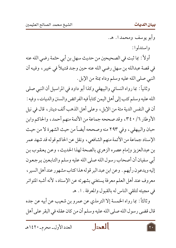وأبو يوسف ومحمدا. هـ. واستدلوا:

أولاً : بما ثبت في الصحيحين من حديث سهل بن أبي حثمة رضي الله عنه في قصة عبدالله بن سهل رضي الله عنه حين وجد قتيلاً في خيبر ، وفيه أن النبي صلى الله عليه وسلم وداه بمئة من الإبل .

وثانياً: بما رواه النسائي والبيهقي وكذا أبو داود في المراسيل أن النبي صلى الله عليه وسلم كتب إلى أهل اليمن كتاباً فيه الفرائض والسنن والديات، وفيه : أن في النفس الدية مئة من الإبل ، وعلى أهل الذهب ألف دينار ، قال في نيل الأوطار ٦/ ٣٤٠، وقد صححه جماعة من الأئمة منهم أحمد، والحاكم وابن حبان والبيهقي، وفي ٢٩٣ منه وصححه أيضاً من حيث الشهرة لا من حيث الإسناد جماعة من الأئمة منهم الشافعي، ونقل عن الحاكم قوله قد شهد عمر بن عبدالعزيز وإمام عصره الزهري بالصحة لهذا الحديث، وعن يعقوب بن أبي سفيان أن أصحاب رسول الله صلى الله عليه وسلم والتابعين يرجعون إليه ويدعون رأيهم . وعن ابن عبد البر قوله هذا كتاب مشهور عند أهل السير ، معروف عند أهل العلم معرفة يستغنى بشهرته عن الإسناد، لأنه أشبه المتواتر في مجيئه لتلقى الناس له بالقبول والمعرفة . ١. هـ

وثالثاً: بما رواه الخمسة إلا الترمذي عن عمرو بن شعيب عن أبيه عن جده قال قضي رسول الله صلى الله عليه وسلم أن من كان عقله في البقر على أهل

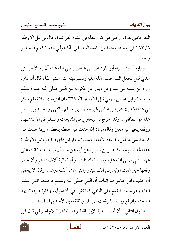البقر مائتي بقرة، وعلى من كان عقله في الشاء ألفي شاة، قال في نيل الأوطار ١٦٧ /٦ في إسناده محمد بن راشد الدمشقي المكحوليي وقد تكلم فيه غير و احد .

ورابعـاً : وبما رواه أبو داود عن ابن عباس رضي الله عـنه أن رجـلاً من بني عدي قتل فجعل النبي صلى الله عليه وسلم ديته اثني عشر ألفاً، قال أبو داود رواه ابن عيينة عن عمرو بن دينار عن عكرمة عن النبي صلى الله عليه وسلم ولم يذكر ابن عباس، وفي نيل الأوطار ٦/ ٣٦٧ قال الترمذي ولا نعلم يذكر في هذا الحديث عن ابن عباس غير محمد بن مسلم . انتهى ومحمد بن مسلم هذا هو الطائفي، وقد أخرج له البخاري في المتابعات ومسلم في الاستشهاد ووثقه يحيى بن معين وقال مرة : إذا حدث من حفظه يخطيء وإذا حدث من كتابه فليس به بأس وضعفه الإمام أحمد ، ثم عارض «أي صاحب نيل الأوطار» هذا الحديث بحديث عمر بن شعيب عن أبيه عن جده أن قيمة الدية كانت على عهد النبي صلى الله عليه وسلم ثمانمائة دينار أو ثمانية آلاف درهم وأن عمر رفعها حين غلت الإبل إلى ألف دينار واثني عشر ألف درهم، وقال لا يخفي أن حديث ابن عباس فيه إثبات أن النبي صلى الله وسلم فرضها اثني عشر ألفاً، وهو مثبت فيقدم على النافي كما تقرر في الأصول، وكثرة طرقه تشهد لصحته والرفع زيادة إذا وقعت من طريق ثقة تعين الأخذ بها . ١. هـ. .

القول الثاني : أن أصل الدية الإبل فقط وهذا ظاهر كلام الخرقي قال في

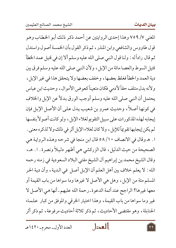المغنى ٧/ ٧٥٩ وهذا إحدى الروايتين عن أحمد ذكر ذلك أبو الخطاب وهو قول طاووس والشافعي وابن المنذر ، ثم ذكر القول بأن الخمسة أصول واستدل ثم قال راداً له : ولنا قول النبي صلى الله عليه وسلم ألا إن في قتيل عمد الخطأ قتيل السوط والعصا مائة من الإبل، ولأن النبي صلى الله عليه وسلم فرق بين دية العمد والخطأ فغلظ بعضها، وخفف بعضها ولا يتحقق هذا في غير الإبل، ولأنه بدل متلف حقاً لأدمى فكان متعيناً كعوض الأموال ، وحديث ابن عباس يحتمل أن النبي صلى الله عليه وسلم أوجب الورق بدلاً عن الإبل والخلاف في كونها أصلاً، وحديث عمرو بن شعيب يدل على أن الأصل الإبل فإن إيجابه لهذه المذكورات على سبيل التقويم لغلاء الإبل، ولو كانت أصولاً بنفسها لم يكن إيجابها تقويماً للإبل ، ولا كان لغلاء الإبل أثر في ذلك ولا لذكره معنى . ا . هـ وقال في الانصاف ٥٨/١٠ قال ابن منجا في شرحه وهـذه الروايـة هي الصحيحة من حيث الدليل، قال الزركشي هي أظهر دليلاً ونصرة. ١. هـ، وقال الشيخ محمد بن إبراهيم آل الشيخ مفتي البلاد السعودية في زمنه رحمه الله : لا يعلم خلاف بين أهل العلم أن الإبل أصل في الدية، وأن دية الحر المسلم مئة من الإبل ، وهل هي الأصل لا غيرها وما سواها من باب القيمة أو معها غيرها؟ الراجح عند أئمة الدعوة ـ رحمة الله عليهم ـ أنها هي الأصل لا غير وما سواها من باب القيمة، وهذا اختيار الخرقي والموفق من كبار علماء الحنابلة، وهو مقتضى الأحاديث، ثم ذكر ثلاثة أحاديث مرفوعة، ثم ذكر أثر

العدل

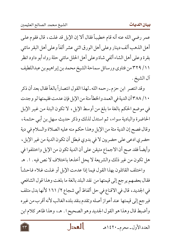عمر رضي الله عنه أنه قام خطيباً فقال ألا إن الإبل قد غلت ، قال فقوم على أهل الذهب ألف دينار وعلى أهل الورق اثني عشر ألفاً وعلى أهل البقر مائتي بقرة وعلى أهل الشاء ألفي شاة وعلى أهل الحلل مائتي حلة رواه أبو داود انظر ١١/ ٣٢٩من فتاوى ورسائل سماحة الشيخ محمد بن إبراهيم بن عبداللطيف آل الشيخ .

وقد انتصر ابن حزم ـ رحمه الله ـ لهذا القول انتصاراً بالغاً فقال بعد أن ذكر ٢٨٨/١٠ أن الدية في العمد والخطأ مئة من الإبل فإن عدمت فقيمتها لو وجدت في موضع الحكم بالغة ما بلغ من أوسط الإبل، لا تكون البتة من غير الإبل الحاضرة والبادية سواء، ثم استدل لذلك وذكر حديث سهل بن أبي حثمة، وقال فصح إن الدية مئة من الإبل وهذا حكم منه عليه الصلاة والسلام في دية حضري ادعى على حضريين لا في بدوي فبطل أن تكون الدية من غير الإبل ، وأيضاً فقد صح أن الاجماع متيقن على أن الدية تكون من الإبل واختلفوا في هل تكون من غير ذلك والشريعة لا يحل أخذها باختلاف لا نص فيه . ١. هـ واختلف القائلون بهذا القول فيما إذا عدمت الإبل أو غلت غلاء فاحشاً

فقال بعضهم يرجع إلى قيمتها من نقد البلد بالغة ما بلغت وهذا قول الشافعي في الجديد، قال في الاقناع في حل ألفاظ أبي شجاع ٢/ ١٦١ لأنها بدل متلف فيرجع إلى قيمتها عند أعواز أصله وتقدم بنقد بلده الغالب لأنه أقرب من غيره وأضبط قال وهذا هو القول الجديد وهو الصحيح ا . هـ، وهذا ظاهر كلام ابن

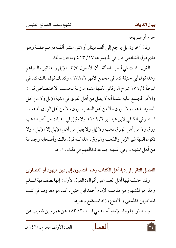حزم أو صريحه .

وقال آخرون بل يرجع إلى ألف دينار أو اثني عشر ألف درهم فضة وهو قديم قول الشافعي قال في المجموعة ١٧/ ٤١٣ وبه قال مالك .

القول الثالث في أصل المسألة : أن الأصول ثلاثة : الإبل والدنانير والدراهم وهذا قول أبي حنيفة كما في مجمع الأنهر ٢/ ٦٣٨ ، وكذلك قول مالك كما في الموطأ ٤/ ١٧٦ شرح الزرقاني لكنها عنده موزعة بحسب الاختصاص قال : والأمر المجتمع عليه عندنا أنه لا يقبل من أهل القرى في الدية الإبل ولا من أهل العمود الذهب ولا الورق ولا من أهل الذهب الورق ولا من أهل الورق الذهب . ا . هـ وفي الكافي لابن عبدالبر ١١٠٩ / ١١٠٩ ولا يقبل في الديات من أهل الذهب ورق ولا من أهل الورق ذهب ولا إبل ولا يقبل من أهل الإبل إلا الإبل، ولا تكون الدية غير الإبل والذهب والورق، هذاكله قول مالك وأصحابه وجماعة من أهل المدينة ، وفي المدينة جماعة تخالفهم في ذلك . ١. هـ

الفصل الثاني في دية أهل الكتاب وهم المنتسبون إلى دين اليهود أو النصارى وقد اختلف فيها أهل العلم على أقوال : القول الأول : إنها نصف دية المسلم وهذا هو المشهور من مذهب الإمام أحمد ابن حنبل، كما هو معروف في كتب المتأخرين كالمنتهى والاقناع وزاد المستقنع وغيرها .

واستدلوا بما رواه الإمام أحمد في المسند ٢/ ١٨٣ عن عمرو بن شعيب عن

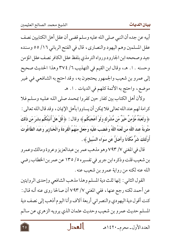أبيه عن جده أن النبي صلى الله عليه وسلم قضى أن عقل أهل الكتابيين نصف عقل المسلمين وهم اليهود والنصاري، قال في الفتح الرباني ١٦/ ٥٥ وسنده جيد وصححه ابن الجارود ورواه الترمذي بلفظ عقل الكافر نصف عقل المؤمن وحسنه . ١. هـ، وقال ابن القيم في التهذيب ٦/ ٣٧٤ وهذا الحديث صحيح إلى عمرو بن شعيب والجمهور يحتجون به، وقد احتج به الشافعي في غير موضع، واحتج به الأئمة كلهم في الديات . ١. هـ

ولأن أهل الكتاب بين كفار حين كفروا بمحمد صلى الله عليه وسلم فلا كرامة لهم عند الله تعالى فلا يمكن أن يساووا بأهل الإيمان، وقد قال الله تعالى : ﴿ وَلَعَبْدٌ مُّؤْمِنٌ خَيْرٌ مّن مُّشْرِك وَلَوْ أَعْجَبَكُم ﴾ وقال : ﴿ قُلْ هَلْ أُنَبَّئُكُم بشَرّ مّن ذَلكَ مَثُوبَةً عندَ اللَّه مَن لَّعَنَهُ اللَّهُ وَغَضبَ عَلَيْه وَجَعَلَ منْهُمُ الْقرَدَةَ وَالْخَنَازِيرَ وَعَبَدَ الطَّاغُوتَ أُولَّئكَ شَرٌّ مَّكَانًا وأَضَلُّ عَن سَوَاءِ السَّبِيلِ﴾ .

قال في المغنى ٧/ ٧٩٣ وهو مذهب عمر بن عبدالعزيز وعروة ومالك وعمرو بن شعيب قلت وذكره ابن جرير في تفسيره ٥/ ١٣٥ عن عمر بن الخطاب رضي الله عنه لكنه من رواية عمرو بن شعيب عنه .

القول الثاني : إنها ثلث دية المسلم وهذا مذهب الشافعي وإحدى الروايتين عن أحمد لكنه رجع عنها، ففي المغني ٧/ ٧٩٣ أن صالحا روى عنه أنه قال : كنت أقول دية اليهودي والنصراني أربعة آلاف وأنا اليوم أذهب إلى نصف دية المسلم حديث عمرو بن شعيب وحديث عثمان الذي يرويه الزهري عن سالم

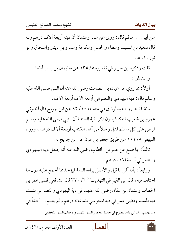عن أبيه . ١. هـ ثم قال : روى عن عمر وعثمان أن ديته أربعة آلاف درهم وبه قال سعيد بن المسيب وعطاء والحسن وعكرمة وعمرو بن دينار وإسحاق وأبو ثور . ا. هـ.

قلت وذكره ابن جرير في تفسيره ٥/ ١٣٥ عن سليمان بن يسار أيضا . واستدلوا:

أولاً: بما روي عن عبادة بن الصامت رضي الله عنه أن النبي صلى الله عليه وسلم قال : دية اليهودي والنصراني أربعة آلاف أربعة آلاف .

وثانياً: بما رواه عبدالرزاق في مصنفه ١٠/ ٩٢ عن ابن جريح قال أخبرني عمرو بن شعيب «هكذا بدون ذكر بقية السند» أن النبي صلى الله عليه وسلم فرض على كل مسلم قتل رجلاً من أهل الكتاب أربعة آلاف درهم، ورواه البيهقي ١٠١ / ١٠١ عن طريق جعفر بن عون عن ابن جريج به .

ثالثاً: بما صح عن عمر بن الخطاب رضي الله عنه أنه جعل دية اليهودي والنصراني أربعة ألاف درهم .

ورابعاً : بأنه أقل ما قيل والأصل براءة الذمة فيؤخذ بما أجمع عليه دون ما اختلف فيه ، قال ابن القيم في التهذيب'' ٦/ ٣٧٥ قال الشافعي قضي عمر بن الخطاب وعثمان بن عفان رضي الله عنهما في دية اليهودي والنصراني بثلث دية المسلم وقضي عمر في دية المجوسي بثمانمائة درهم ولم يعلم أن أحداً في

١ ـ تهذيب سنن أبي داود المطبوع في حاشية مختصر السنن للمنذري ومعالم السنن للخطابي.





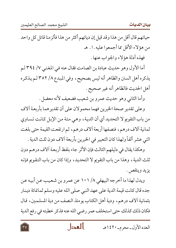حياتهم قال أقل من هذا وقد قيل إن دياتهم أكثر من هذا فألزمنا قاتل كل واحد من هؤلاء الأقل مما أجمعوا عليه . ا . هـ فهذه أدلة هؤ لاء والجواب عنها .

أما الأول وهو حديث عبادة بن الصامت فقال عنه في المغني ٧/ ٣٩٤لم يذكره أهل السنن والظاهر أنه ليس بصحيح، وفي المبدع ٨/ ٣٥٢ لـم يذكره أهل الحديث فالظاهر أنه غير صحيح .

وأما الثاني وهو حديث عمرو بن شعيب فضعيف لأنه معضل .

وعلى تقدير صحة الخبرين فهما محمولان على أن تقديرهما بأربعة آلاف من باب التقويم لا التحديد أي أن الدية، وهي مئة من الإبل كانت تساوي ثمانية آلاف درهم، فنصفها أربعة آلاف درهم، ثم ارتفعت القيمة حتى بلغت اثني عشر ألفاً ولهذا كان التعبير في الخبرين بأربعة آلاف دون ثلث الدية .

وهكذا يقال في دليلهم الثالث فإن الأثر جاء بلفظ أربعة آلاف درهم دون ثلث الدية ، وهذا من باب التقويم لا التحديد ، وإذا كان من باب التقويم فإنه يزيد وينقص .

ويدل لهذا ما أخرجه البيهقي ١٠١ / ١٠١ عن عمرو بن شعيب عن أبيه عن جده قال كانت قيمة الدية على عهد النبي صلى الله عليه وسلم ثمانمائة دينار بثمانية آلاف درهم، ودية أهل الكتاب يومئذ النصف من دية المسلمين، قال فكان ذلك كذلك حتى استخلف عمر رضي الله عنه فذكر خطبته في رفع الدية

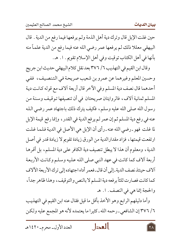حين غلت الإبل قال وترك دية أهل الذمة ولم يرفعها فيما رفع من الدية . قال البيهقي معللا ذلك لم يرفعها عمر رضي الله عنه فيما رفع من الدية علماً منه بأنها في أهل الكتاب توقيت وفي أهل الإسلام تقويم . ١. هـ.

وقال ابن القيم في التهذيب ٦/ ٣٧٦ بعد نقل كلام البيهقي حديث ابن جريج وحسين المعلم وغيرهما عن عمرو بن شعيب صريحة في التنصيف، ففي أحدهما قال نصف دية المسلم وفي الآخر قال أربعة آلاف مع قوله كانت دية المسلم ثمانية آلاف، فالروايتان صريحتان في أن تنصيفها توقيف وسنة من رسول الله صلى الله عليه وسلم، فكيف يترك ذلك باجتهاد عمر رضي الله عنه في رفع دية المسلم ثم إن عمر لم يرفع الدية في القدر ، وإنما رفع قيمة الإبل لما غلت فهو ـ رضي الله عنه ـ رأى أن الإبل هي الأصل في الدية فلما غلت ارتفعت قيمتها، فزاد مقدارالدية من الورق زيادة تقويم لا زيادة قدر في أصل الدية، ومعلوم أن هذا لا يبطل تنصيف دية الكافر على دية المسلم، بل أقرها أربعة آلاف كما كانت في عهد النبي صلى الله عليه وسلم وكانت الأربعة ألاف حينئذ نصف الدية ـ إلى أن قال ـ فعمر أداه اجتهاده إلى ترك الأربعة الآلاف كما كانت فصارت ثلثاً برفعه دية المسلم لا بالنص والتوقيف، وهذا ظاهر جداً، والحجة إنما هي في النصف . ١. هـ

وأما دليلهم الرابع وهو الأخذ بأقل ما قيل فقال عنه ابن القيم في التهذيب ٦/ ٣٧٦ إن الشافعي ـ رحمه الله ـ كثيرا ما يعتمده لأنه هو المجمع عليه ولكن

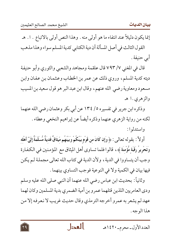إنما يكون دليلاً عند انتفاء ما هو أولى منه . وهذا النص أولى بالاتباع . ١. هـ القول الثالث في أصل المسألة أن دية الكتابي كدية المسلم سواء وهذا مذهب أبي حنيفة .

قال في المغني ٧/ ٧٩٣ قال علقمة ومجاهد والشعبي والثوري وأبو حنيفة ديته كدية المسلم، وروي ذلك عن عمر بن الخطاب وعثمان بن عفان وابن مسعود ومعاوية رضي الله عنهم، وقال ابن عبد البر هو قول سعيد بن المسيب والزهري.ا هـ

وذكره ابن جرير في تفسيره ٥/ ١٣٤ عن أبي بكر وعثمان رضي الله عنهما لكنه من رواية الزهري عنهما وذكره أيضاً عن إبراهيم النخعي وعطاء .

واستدلوا:

أولاً : بقوله تعالى : ﴿ وَإِن كَانَ مِن قَوْمٍ بَيْنَكُمْ وَبَيْنَهُم مِّيثَاقٌ فَديَةٌ مُّسَلَّمَةٌ إِلَىٓ أَهْله وَتَحْرِيرُ رَقَبَةٍ مُّؤْمِنَةٍ ﴾، قالوا فلما تساوى أهل الميثاق مع المؤمنين في الكفارة وجب أن يتساووا في الدية ، ولأن الدية في كتاب الله تعالى مجملة لـم يكن فيها بيان في الكمية ولا في النوعية فوجب التساوي بينهما .

وثانياً : بحديث ابن عباس رضي الله عنهما أن النبي صلى الله عليه وسلم ودي العامريين اللذين قتلهما عمرو بن أمية الضمري بدية المسلمين وكان لهما عهد لم يشعر به عمرو أخرجه الترمذي وقال حديث غريب لا نعرفه إلا من هذا الوجه .

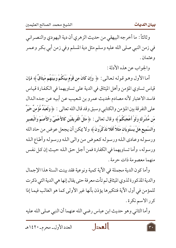وثالثاً : ما أخرجه البيهقي من حديث الزهري أن دية اليهودي والنصراني في زمن النبي صلى الله عليه وسلم مثل دية المسلم وفي زمن أبي بكر وعمر وعثمان .

والجواب عن هذه الأدلة :

أما الأول وهـو قـولـه تـعـالـي : ﴿ وَإِن كَانَ من قَوْمٍ بَيْنَكُمْ وَبَيْنَهُم مِّيثَاقٌ ﴾ فإن قياس تساوي المؤمن وأهل الميثاق في الدية على تساويهما في الكفارة قياس فاسد الاعتبار لأنه مصادم لحديث عمرو بن شعيب عن أبيه عن جده الدال على التفرقة بين المؤمن والكتابي وسبق وقد قال الله تعالى : ﴿ وَلَعَبْدٌ مُّؤْمِنٌ خَيْرٌ مّن مُّشْرِك ولَوْ أَعْجَبَكُمْ ﴾ وقال تعالى : ﴿ مَثَلُ الْفَرِيقَيْنِ كَالأَعْمَىٓ وَالأَصَمّ وَالْبَصير وَالسَّميعِ هَلْ يَسْتَوِيَانِ مَثَلاً أَفَلا تَذَكَّرُونَ ﴾ ولا يمكن أن يجعل عوض من حاد الله ورسوله وعادى الله ورسوله كعوض من والى الله ورسوله وأطاع الله ورسوله، وأما تساويهما في الكفارة فمن أجل حق الله حيث إن كل نفس منهما معصومة ذات حرمة .

وأما كون الدية مجملة في الآية كمية ونوعية فقد بينت السنة هذا الإجمال والدية المذكورة لذوي الميثاق لم تأت معرفة حتى يقال إنها هي الدية التي ذكرت للمؤمن في أول الآية فتنكيرها يؤذن بأنها غير الأولى كما هو الغالب فيما إذا كرر الاسم نكرة.

وأما الثاني وهو حديث ابن عباس رضي الله عنهما أن النبي صلى الله عليه

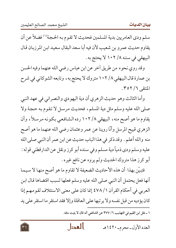سلم ودي العامريين بدية المسلمين فحديث لا تقوم به الحجة'') فضلاً عن أن يقاوم حديث عمر و بن شعيب لأن فيه أبا سعد البقال سعيد ابن المرزبان قال البيهقي في سننه ١٠٢ / ١٠٢ لا يحتج به .

وقد روي نحوه من طريق آخر عن ابن عباس رضي الله عنهما وفيه الحسن بن عمارة قال البيهقي ١٠٢ / ١٠٢ متروك لا يحتج به ، وتابعه الشوكاني في شرح المنتقى ٦/ ٣٥٢.

وأما الثالث وهو حديث الزهري أن دية اليهودي والنصراني في عهد النبي صلى الله عليه وسلم مثل دية المسلم، فحديث مرسل لا تقوم به حجة ولا يقاوم ما هو أصح منه ، البيهقي ١٠٢ /٨ رده الشافعي بكونه مرسلاً ، وأن الزهري قبيح المرسل وأنّا روينا عن عمر وعثمان رضي الله عنهما ما هو أصح منه والله أعلم . وقد ذكر في هذا الباب حديث عن ابن عمر أن النبي صلى الله عليه وسلم ودي ذمياً دية مسلم وفي سنده أبو كرز ونقل عن الدارقطني قوله : أبو كرز هذا متروك الحديث ولم يروه عن نافع غيره .

فتبيَّن بهذا أن هذه الأحاديث الضعيفة لا تقاوم ما هو أصح منها لا سيما أنها فعل يحتمل أن النبي صلى الله عليه وسلم فعلها لسبب اقتضاها قال ابن العربي في أحكام القرآن ١ / ٤٧٨ إنما كان على معنى الاستئلاف لقومهم إذا كان يؤديه من قبل نفسه ولا ير تبها على العاقلة وإلا فقد استقر ما استقر على يد

١ ـ نقل ابن القيم في التهذيب ٦/ ٣٧٧ عن الشافعي أنه قال لا يثبت مثله.

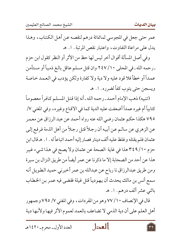عمر حتى جعل في المجوسي ثمانمائة درهم لنقصه عن أهل الكتاب، وهذا يدل على مراعاة التفاوت، واعتبار نقص المرتبة . ١. هـ

وفي أصل المسألة أقوال أخر ليس لها حظ من الأثر أو النظر كقول ابن حزم ـ رحمه الله ـ في المحلي ١٠/ ٢٤٧ وان قتل مسلم عاقل بالـغ ذميـاً أو مستأمن عمداً أو خطأ فلا قود عليه ولا دية ولا كفارة ولكن يؤدب في العمد خاصة ويسجن حتى يتوب كفاً لضرره . ا . هـ

(تنبيه) ذهب الإمام أحمد ـ رحمه الله ـ أنه إذا قتل المسلم كـافراً معصوماً كتابياً أم غيره عمداً أضعفت عليه الدية كما في الاقناع وغيره، وفي المغني ٧/ ٧٩٥ هكذا حكم عثمان رضي الله عنه رواه أحمد عن عبد الرزاق عن معمر عن الزهري عن سالـم عـن أبيه أن رجلاً قتل رجلاً من أهل الذمة فرفع إلـي عثمان فلم يقتله وغلظ عليه ألف دينار فصار إليه أحمد اتباعاً له . ١. هـ قال ابن حزم ٣٤٩/١٠ هذا في غاية الصحة عن عثمان ولا يصح في هذا شيء غير هذا عن أحد من الصحابة إلا ما ذكرنا عن عمر أيضاً من طريق النزال بن سبرة ومن طريق عبدالرزاق نا رباح عن عبدالله بن عمر أخبرني حميد الطويل أنه سمع أنس بن مالك يحدث أن يهودياً قتل غيلة فقضي فيه عمر بن الخطاب باثني عشر ألف درهم . ا . هـ

قال في الإنصاف ٧٠/ ٧٧ وهو من المفردات، وفي المغنى ٧/ ٧٩٥ وجمهور أهل العلم على أن دية الذمي لا تضاعف بالعمد لعموم الأثر فيها ولأنها دية

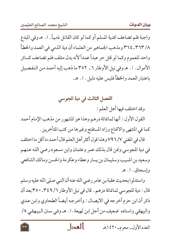واجبة فلم تضاعف كدية المسلم أو كما لو كان القاتل ذمياً . ١. هـ وفي المبدع ٨/ ٣٦٣\_ ٣٦٤ ومذهب الجماهير من العلماء أن دية الذمي في العمد والخطأ واحد للعموم وكما لو قتل حر عبداً عمداً لأنه بدل متلف فلم تضاعف كسائر الأموال . ١. هـ وفي نيل الأوطار ٦ , ٣٥٢ ما ذهب إليه أحمد من التفصيل باعتبار العمد والخطأ فليس عليه دليل . ١. هـ.

الفصل الثالث في دية المجوسي

وقد اختلف فيها أهل العلم :

القول الأول : أنها ثمانمائة درهم وهذا هو المشهور من مذهب الإمام أحمد كما في المنتهى والاقناع وزاد المستقنع وغيرها من كتب المتأخرين .

قال في المغنى ٧/ ٧٩٦ وهذا قول أكثر أهل العلم قال أحمد ما أقل ما اختلف في دية المجوسي وممن قال بذلك عمر وعثمان وابن مسعود رضي الله عنهم وسعيد بن المسيب وسليمان بن يسار وعطاء وعكر مة والحسن ومالك الشافعي وإسحاق . ١ . هـ

واستدلوا بحديث عقبة بن عامر رضي الله عنه أن النبي صلى الله عليه وسلم قال : دية المجوسي ثمانمائة درهم . قال في نيل الأوطار ٦/ ٣٤٩- ٣٥٠ بعد أن ذكرٍ أن ابن حزم أخرجه في الايصال : وأخرجه أيضاً الطحاوي وابن عدي والبيهقي واسناده ضعيف من أجل ابن لهيعة . ا . هـ وفي سـنن الـبيهقي ٨/

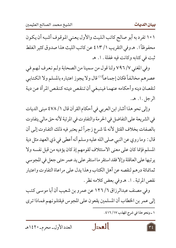١٠١ تفرد به أبو صالح كاتب الليث والأول يعني الموقوف أشبه أن يكون محفوظاً ا . هـ وفي التقريب ١ / ٤١٣ من كاتب الليث هذا صدوق كثير الغلط ثبت في كتابه وكانت فيه غفلة . ١. هـ

وفي المغنى ٧/ ٧٩٦ ولنا قول من سمينا من الصحابة ولم نعرف لهم في عصرهم مخالفاً فكان إجماعاً"' قال ولا يجوز اعتباره بالمسلم ولا الكتابي لنقصان دينه وأحكامه عنهما فينبغي أن تنقص ديته كنقص المرأة عن دية الرجل.ا. هـ.

وإلى نحو هذا أشار ابن العربي في أحكام القرآن قال ١/ ٤٧٨ مبنى الديات في الشريعة على التفاضل في الحرمة والتفاوت في المرتبة لأنه حق مالي يتفاوت بالصفات بخلاف القتل لأنه لما شرع زجراً لم يعتبر فيه ذلك التفاوت إلىي أن قال : وما روي عن النبي صلى الله عليه وسلم أنه أعطى في ذي العهد مثل دية المسلم فإنما كان على معنى الاستئلاف لقومهم إذ كان يؤديه من قبل نفسه ولا يرتبها على العاقلة وإلا فقد استقر ما استقر على يد عمر حتى جعل في المجوسي ثمانمائة درهم لنقصه عن أهل الكتاب وهذا يدل على مراعاة التفاوت واعتبار نقص المرتبة . ا. هـ وفي بعض كلامه نظر .

وفي مصنف عبدالرزاق ٦/ ١٢٦ عن عمرو بن شعيب أن أبا موسى كتب إلى عمر بن الخطاب أن المسلمين يقعون على المجوس فيقتلونهم فماذا ترى

١ ـ ونحو هذا في شرح المهذب ١٧/ ٤١٦.





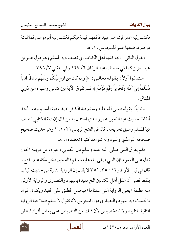فكتب إليه عمر فإنما هم عبيد فأقمهم قيمة فيكم فكتب إليه أبوموسى ثمانمائة درهم فوضعها عمر للمجوس. ١. هـ

القول الثاني : أنها كدية أهل الكتاب أي نصف دية المسلم وهو قول عمر بن عبدالعزيز كما في مصنف عبد الرزاق ٦/ ١٢٧ وفي المغني ٧/ ٧٩٦ .

استدلوا أولاً : بقوله تعالىي : ﴿ وَإِن كَانَ من قَوْمٍ بَيْنَكُمْ وَبَيْنَهُم مِّيثَاقٌ فَديَةٌ مُّسلَّمَةٌ إِلَىٓ أَهْله وَتَحْرِيرُ رَقَبَةٍ مُّؤْمَنَةٍ﴾ فلم تفرق الآية بين كتابي وغيره من ذوي المبثاق .

وثانياً: بقوله صلى لله عليه وسلم دية الكافر نصف دية المسلم وهذا أحد ألفاظ حديث عبدالله بن عمرو الذي استدل به من قال إن دية الكتابي نصف دية المسلم وسبق تخريجه ، قال في الفتح الرباني ١٦١ / ١٦١ وهو حديث صحيح صححه الترمذي وغيره وله شواهد كثيرة تعضده ا . هـ.

فلم يفرق النبي صلى الله عليه وسلم بين الكتابي وغيره، بل قرينة الحال تدل على العموم فإن النبي صلى الله عليه وسلم قاله حين دخل مكة عام الفتح ، قال في نيل الأوطار ٦/ ٣٥٠\_ ٣٥١ لا يقال إن الرواية الثانية من حديث الباب بلفظ قضي أن عقل أهل الكتابين الخ مقيدة باليهود والنصاري والرواية الأولى منه مطلقة «يعني الرواية التي سقناها» فيحمل المطلق على المقيد ويكون المراد بالحديث دية اليهو د والنصاري دون المجو س لأنا نقو ل لا نسلم صلاحية الر واية الثانية للتقييد ولا للتخصيص لأن ذلك من التنصيص على بعض أفراد المطلق

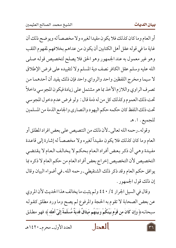أو العام وما كان كذلك فلا يكون مقيدا لغيره ولا مخصصاً له ويوضح ذلك أن غاية ما في قوله عقل أهل الكتابين أن يكون من عداهم بخلافهم لمفهوم اللقب وهو غير معمول به عند الجمهور وهو الحق فلا يصلح لتخصيص قوله صلبي الله عليه وسلم عقل الكافر نصف دية المسلم ولا لتقييده على فرض الإطلاق لا سيما ومخرج اللفظين واحد والرواي واحد فإن ذلك يفيد أن أحدهما من تصرف الراوي واللازم الأخذ بما هو مشتمل على زيادة فيكون المجوسي داخلاً تحت ذلك العموم وكذلك كل من له ذمة قال : ولو فرض عدم دخول المجوسي تحت ذلك اللفظ كان حكمه حكم اليهود والنصاري والجامع الذمة من المسلمين للجميع. ١. هـ

وقوله ـ رحمه الله تعالى ـ لأن ذلك من التنصيص على بعض افراد المطلق أو العام وما كان كذلك فلا يكون مقيداً لغيره ولا مخصصاً له إشارة إلى قاعدة مفيدة وهي أن ذكر بعض أفراد العام بحكم لا يخالف العام لا يقتضي التخصيص لأن التخصيص إخراج بعض أفراد العام من حكم العام لا ذكره بما يوافق حكم العام وقد ذكر ذلك الشنقيطي ـ رحمه الله ـ في أضواء البيان وقال إن ذلك قول الجمهور .

وقال في السيل الجرار ٤ / ٤٤٠ ولم يثبت ما يخالف هذا الحديث لأن المروي عن بعض الصحابة لا تقوم به الحجة والمرفوع لم يصح وما ورد مطلق كقوله سبحانه﴿ وَإِن كَانَ من قَوْمٍ بَيْنَكُمْ وَبَيْنَهُم مِّيثَاقٌ فَديَةٌ مُّسَلَّمَةٌ إِلَىٓ أَهْله ﴾ فهو مطلق



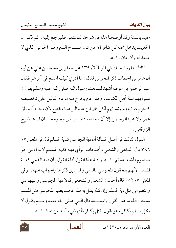مقيد بالسنة وقد أوضحنا هذا في شرحنا للمنتقي فليرجع إليه، ثم ذكر أن الحديث يدخل تحته كل كـافر إلا من كان مبــــاح الـدم وهـو الحربي الـذي لا عهدله ولا أمان . ا . هـ

ثالثاً : بما رواه مالك في الموطأ ٢/ ١٣٩ عن جعفر بن محمد بن علي عن أبيه أن عمر بن الخطاب ذكر المجوس فقال : ما أدري كيف أصنع في أمرهم فقال عبد الرحمن بن عوف أشهد لسمعت رسول الله صلى الله عليه وسلم يقول : سنوا بهم سنة أهل الكتاب، وهذا عام يخرج منه ما قام الدليل على تخصيصه كتحريم ذبائحهم ونسائهم لكن قال ابن عبد البر هذا منقطع لأن محمداً لم يلق عمر ولا عبدالرحمن إلا أن معناه متصـــل من وجوه حسـان ا . هـ شرح الزوقانبي .

القول الثالث في أصل المسألة أن دية المجوسي كدية المسلم قال في المغني ٧/ ٧٩٦ قال النخعي والشعبي وأصحاب الرأي ديته كدية المسلم لأنه آدمي حر معصوم فأشبه المسلم . ا . هـ وأدلة هذا القول أدلة القول بأن دية الذمي كدية المسلم لأنهم يلحقون المجوسي بالذمي وقد سبق ذكرها والجواب عنها، وفي المغني ٧/ ٦٥٢ قال أحمد : الشعبي والنخعي قالا دية المجوسي واليهودي والنصراني مثل دية المسلم وإن قتله يقتل به هذا عجب يصير المجوسى مثل المسلم سبحان الله ما هذا القول واستبشعه قال النبي صلى الله عليه وسلم يقول لا يقتل مسلم بكافر وهو يقول يقتل بكافر فأي شيء أشد من هذا . ا . هـ.

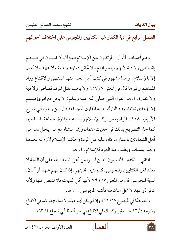الفصل الرابع في دية الكفار غير الكتابيين والمجوس على اختلاف أحوالهم

وهم أصناف الأول : المرتدون عن الإسلام فهؤلاء لا ضمان في قتلهم بقصاص ولادية لأنهم مباحو الدم ولا تحقن دماؤهم بذمة ولا عهد ولا أمان إلا بالإسلام. وهذا مشهور في كتب أهل العلم منها المنتهى والاقناع وزاد المستقنع وغيرها قال في المغنى ٧/ ٦٥٧ ولا يجب بقتل المرتد قصاص ولا دية ولا كفارة . ١. هـ. لقول النبي صلى الله عليه وسلم : لا يحل دم امرئ مسلم إلا بإحدى ثلاث وفيه التارك لدينه المفارق للجماعة قال ابن رجب في شرح الأربعين ١٠٨ : المراد به من ترك الإسلام وارتد عنه وفارق جماعة المسلمين كما جاء التصريح بذلك في حديث عثمان وإنما استثناه مع من يحل دمه من أهل الشهادتين باعتبار ما كان عليه قبل الردة وحكم الإسلام لازم له بعدها ولهذا يستتاب ويطلب منه العود للإسلام . ١. هـ.

الثاني : الكفار الأصليون الذين ليسوا من أهل الذمة ـ بناء على أن الذمة لا تعقد لغير الكتابيين والمجوس ـ كالوثنيين فديتهم ـ إذا كـان لـهـم عـهـد أو أمـان ـ كدية المجوسي قال في المغني ٧٩٦ / ٧٩٦ لأنها أقل الديات فلا تنقص عنها ولأنه كافر ذو عهد لا تحل مناكحته فأشبه المجوسى . ا. هـ.

ونحو هذا في المجموع ١٧/ ٤١٦ وإن لم يكن لهم عهد ولا أمان فهدر كما في الاقناع وشرحه ٢/ ١٢ ط. مقبل وكذلك في الاقناع في جل ألفاظ أبي شجاع ٢/ ١٦٣ .